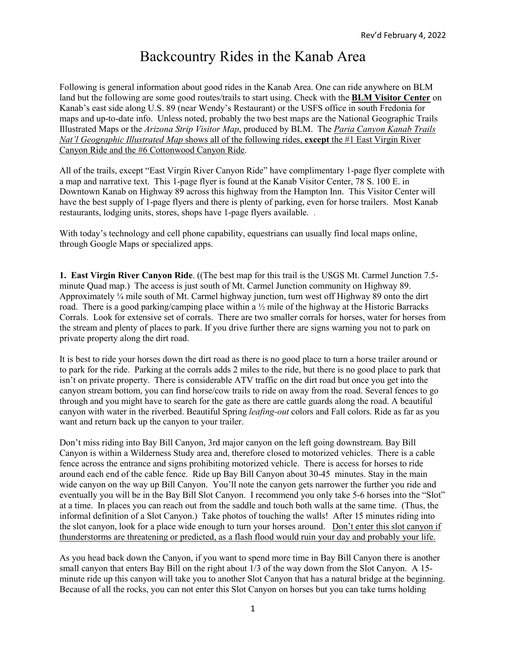## Backcountry Rides in the Kanab Area

Following is general information about good rides in the Kanab Area. One can ride anywhere on BLM land but the following are some good routes/trails to start using. Check with the **BLM Visitor Center** on Kanab's east side along U.S. 89 (near Wendy's Restaurant) or the USFS office in south Fredonia for maps and up-to-date info. Unless noted, probably the two best maps are the National Geographic Trails Illustrated Maps or the *Arizona Strip Visitor Map*, produced by BLM. The *Paria Canyon Kanab Trails Nat'l Geographic Illustrated Map* shows all of the following rides, **except** the #1 East Virgin River Canyon Ride and the #6 Cottonwood Canyon Ride.

All of the trails, except "East Virgin River Canyon Ride" have complimentary 1-page flyer complete with a map and narrative text. This 1-page flyer is found at the Kanab Visitor Center, 78 S. 100 E. in Downtown Kanab on Highway 89 across this highway from the Hampton Inn. This Visitor Center will have the best supply of 1-page flyers and there is plenty of parking, even for horse trailers. Most Kanab restaurants, lodging units, stores, shops have 1-page flyers available. .

With today's technology and cell phone capability, equestrians can usually find local maps online, through Google Maps or specialized apps.

**1. East Virgin River Canyon Ride**. ((The best map for this trail is the USGS Mt. Carmel Junction 7.5 minute Quad map.) The access is just south of Mt. Carmel Junction community on Highway 89. Approximately  $\frac{1}{4}$  mile south of Mt. Carmel highway junction, turn west off Highway 89 onto the dirt road. There is a good parking/camping place within a ½ mile of the highway at the Historic Barracks Corrals. Look for extensive set of corrals. There are two smaller corrals for horses, water for horses from the stream and plenty of places to park. If you drive further there are signs warning you not to park on private property along the dirt road.

It is best to ride your horses down the dirt road as there is no good place to turn a horse trailer around or to park for the ride. Parking at the corrals adds 2 miles to the ride, but there is no good place to park that isn't on private property. There is considerable ATV traffic on the dirt road but once you get into the canyon stream bottom, you can find horse/cow trails to ride on away from the road. Several fences to go through and you might have to search for the gate as there are cattle guards along the road. A beautiful canyon with water in the riverbed. Beautiful Spring *leafing-out* colors and Fall colors. Ride as far as you want and return back up the canyon to your trailer.

Don't miss riding into Bay Bill Canyon, 3rd major canyon on the left going downstream. Bay Bill Canyon is within a Wilderness Study area and, therefore closed to motorized vehicles. There is a cable fence across the entrance and signs prohibiting motorized vehicle. There is access for horses to ride around each end of the cable fence. Ride up Bay Bill Canyon about 30-45 minutes. Stay in the main wide canyon on the way up Bill Canyon. You'll note the canyon gets narrower the further you ride and eventually you will be in the Bay Bill Slot Canyon. I recommend you only take 5-6 horses into the "Slot" at a time. In places you can reach out from the saddle and touch both walls at the same time. (Thus, the informal definition of a Slot Canyon.) Take photos of touching the walls! After 15 minutes riding into the slot canyon, look for a place wide enough to turn your horses around. Don't enter this slot canyon if thunderstorms are threatening or predicted, as a flash flood would ruin your day and probably your life.

As you head back down the Canyon, if you want to spend more time in Bay Bill Canyon there is another small canyon that enters Bay Bill on the right about 1/3 of the way down from the Slot Canyon. A 15 minute ride up this canyon will take you to another Slot Canyon that has a natural bridge at the beginning. Because of all the rocks, you can not enter this Slot Canyon on horses but you can take turns holding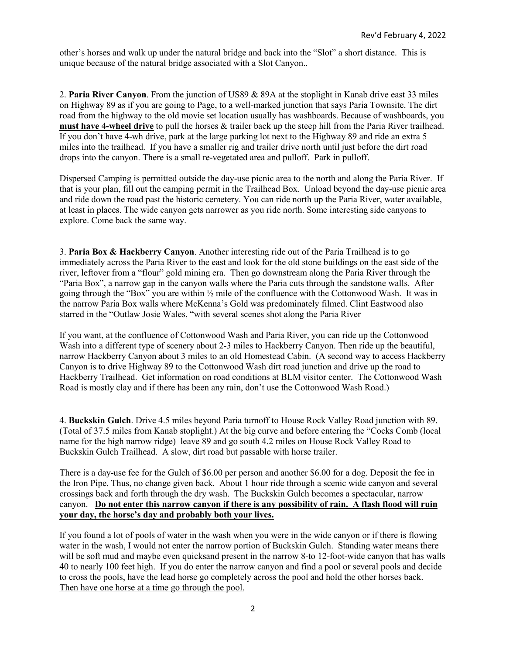other's horses and walk up under the natural bridge and back into the "Slot" a short distance. This is unique because of the natural bridge associated with a Slot Canyon..

2. **Paria River Canyon**. From the junction of US89 & 89A at the stoplight in Kanab drive east 33 miles on Highway 89 as if you are going to Page, to a well-marked junction that says Paria Townsite. The dirt road from the highway to the old movie set location usually has washboards. Because of washboards, you **must have 4-wheel drive** to pull the horses & trailer back up the steep hill from the Paria River trailhead. If you don't have 4-wh drive, park at the large parking lot next to the Highway 89 and ride an extra 5 miles into the trailhead. If you have a smaller rig and trailer drive north until just before the dirt road drops into the canyon. There is a small re-vegetated area and pulloff. Park in pulloff.

Dispersed Camping is permitted outside the day-use picnic area to the north and along the Paria River. If that is your plan, fill out the camping permit in the Trailhead Box. Unload beyond the day-use picnic area and ride down the road past the historic cemetery. You can ride north up the Paria River, water available, at least in places. The wide canyon gets narrower as you ride north. Some interesting side canyons to explore. Come back the same way.

3. **Paria Box & Hackberry Canyon**. Another interesting ride out of the Paria Trailhead is to go immediately across the Paria River to the east and look for the old stone buildings on the east side of the river, leftover from a "flour" gold mining era. Then go downstream along the Paria River through the "Paria Box", a narrow gap in the canyon walls where the Paria cuts through the sandstone walls. After going through the "Box" you are within ½ mile of the confluence with the Cottonwood Wash. It was in the narrow Paria Box walls where McKenna's Gold was predominately filmed. Clint Eastwood also starred in the "Outlaw Josie Wales, "with several scenes shot along the Paria River

If you want, at the confluence of Cottonwood Wash and Paria River, you can ride up the Cottonwood Wash into a different type of scenery about 2-3 miles to Hackberry Canyon. Then ride up the beautiful, narrow Hackberry Canyon about 3 miles to an old Homestead Cabin. (A second way to access Hackberry Canyon is to drive Highway 89 to the Cottonwood Wash dirt road junction and drive up the road to Hackberry Trailhead. Get information on road conditions at BLM visitor center. The Cottonwood Wash Road is mostly clay and if there has been any rain, don't use the Cottonwood Wash Road.)

4. **Buckskin Gulch**. Drive 4.5 miles beyond Paria turnoff to House Rock Valley Road junction with 89. (Total of 37.5 miles from Kanab stoplight.) At the big curve and before entering the "Cocks Comb (local name for the high narrow ridge) leave 89 and go south 4.2 miles on House Rock Valley Road to Buckskin Gulch Trailhead. A slow, dirt road but passable with horse trailer.

There is a day-use fee for the Gulch of \$6.00 per person and another \$6.00 for a dog. Deposit the fee in the Iron Pipe. Thus, no change given back. About 1 hour ride through a scenic wide canyon and several crossings back and forth through the dry wash. The Buckskin Gulch becomes a spectacular, narrow canyon. **Do not enter this narrow canyon if there is any possibility of rain. A flash flood will ruin your day, the horse's day and probably both your lives.**

If you found a lot of pools of water in the wash when you were in the wide canyon or if there is flowing water in the wash, I would not enter the narrow portion of Buckskin Gulch. Standing water means there will be soft mud and maybe even quicksand present in the narrow 8-to 12-foot-wide canyon that has walls 40 to nearly 100 feet high. If you do enter the narrow canyon and find a pool or several pools and decide to cross the pools, have the lead horse go completely across the pool and hold the other horses back. Then have one horse at a time go through the pool.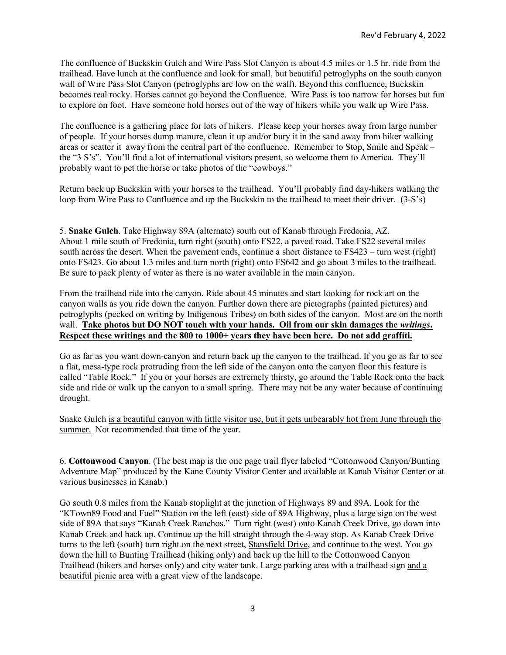The confluence of Buckskin Gulch and Wire Pass Slot Canyon is about 4.5 miles or 1.5 hr. ride from the trailhead. Have lunch at the confluence and look for small, but beautiful petroglyphs on the south canyon wall of Wire Pass Slot Canyon (petroglyphs are low on the wall). Beyond this confluence, Buckskin becomes real rocky. Horses cannot go beyond the Confluence. Wire Pass is too narrow for horses but fun to explore on foot. Have someone hold horses out of the way of hikers while you walk up Wire Pass.

The confluence is a gathering place for lots of hikers. Please keep your horses away from large number of people. If your horses dump manure, clean it up and/or bury it in the sand away from hiker walking areas or scatter it away from the central part of the confluence. Remember to Stop, Smile and Speak – the "3 S's". You'll find a lot of international visitors present, so welcome them to America. They'll probably want to pet the horse or take photos of the "cowboys."

Return back up Buckskin with your horses to the trailhead. You'll probably find day-hikers walking the loop from Wire Pass to Confluence and up the Buckskin to the trailhead to meet their driver. (3-S's)

5. **Snake Gulch**. Take Highway 89A (alternate) south out of Kanab through Fredonia, AZ. About 1 mile south of Fredonia, turn right (south) onto FS22, a paved road. Take FS22 several miles south across the desert. When the pavement ends, continue a short distance to FS423 – turn west (right) onto FS423. Go about 1.3 miles and turn north (right) onto FS642 and go about 3 miles to the trailhead. Be sure to pack plenty of water as there is no water available in the main canyon.

From the trailhead ride into the canyon. Ride about 45 minutes and start looking for rock art on the canyon walls as you ride down the canyon. Further down there are pictographs (painted pictures) and petroglyphs (pecked on writing by Indigenous Tribes) on both sides of the canyon. Most are on the north wall. **Take photos but DO NOT touch with your hands. Oil from our skin damages the** *writings***. Respect these writings and the 800 to 1000+ years they have been here. Do not add graffiti.**

Go as far as you want down-canyon and return back up the canyon to the trailhead. If you go as far to see a flat, mesa-type rock protruding from the left side of the canyon onto the canyon floor this feature is called "Table Rock." If you or your horses are extremely thirsty, go around the Table Rock onto the back side and ride or walk up the canyon to a small spring. There may not be any water because of continuing drought.

Snake Gulch is a beautiful canyon with little visitor use, but it gets unbearably hot from June through the summer. Not recommended that time of the year.

6. **Cottonwood Canyon**. (The best map is the one page trail flyer labeled "Cottonwood Canyon/Bunting Adventure Map" produced by the Kane County Visitor Center and available at Kanab Visitor Center or at various businesses in Kanab.)

Go south 0.8 miles from the Kanab stoplight at the junction of Highways 89 and 89A. Look for the "KTown89 Food and Fuel" Station on the left (east) side of 89A Highway, plus a large sign on the west side of 89A that says "Kanab Creek Ranchos." Turn right (west) onto Kanab Creek Drive, go down into Kanab Creek and back up. Continue up the hill straight through the 4-way stop. As Kanab Creek Drive turns to the left (south) turn right on the next street, Stansfield Drive, and continue to the west. You go down the hill to Bunting Trailhead (hiking only) and back up the hill to the Cottonwood Canyon Trailhead (hikers and horses only) and city water tank. Large parking area with a trailhead sign and a beautiful picnic area with a great view of the landscape.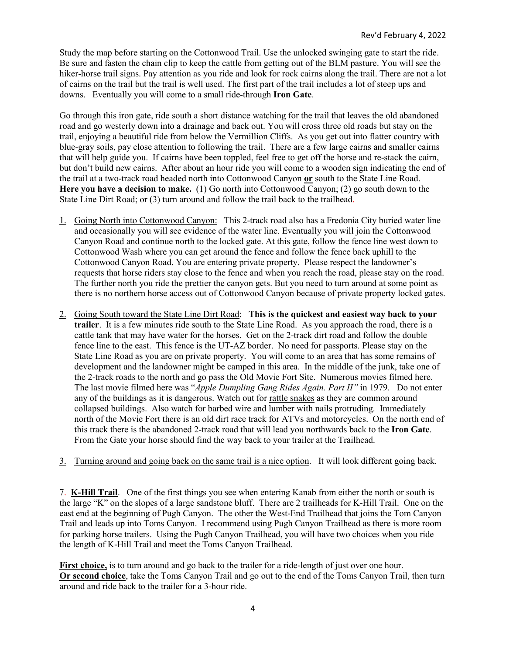Study the map before starting on the Cottonwood Trail. Use the unlocked swinging gate to start the ride. Be sure and fasten the chain clip to keep the cattle from getting out of the BLM pasture. You will see the hiker-horse trail signs. Pay attention as you ride and look for rock cairns along the trail. There are not a lot of cairns on the trail but the trail is well used. The first part of the trail includes a lot of steep ups and downs. Eventually you will come to a small ride-through **Iron Gate**.

Go through this iron gate, ride south a short distance watching for the trail that leaves the old abandoned road and go westerly down into a drainage and back out. You will cross three old roads but stay on the trail, enjoying a beautiful ride from below the Vermillion Cliffs. As you get out into flatter country with blue-gray soils, pay close attention to following the trail. There are a few large cairns and smaller cairns that will help guide you. If cairns have been toppled, feel free to get off the horse and re-stack the cairn, but don't build new cairns. After about an hour ride you will come to a wooden sign indicating the end of the trail at a two-track road headed north into Cottonwood Canyon **or** south to the State Line Road. **Here you have a decision to make.** (1) Go north into Cottonwood Canyon; (2) go south down to the State Line Dirt Road; or (3) turn around and follow the trail back to the trailhead.

- 1. Going North into Cottonwood Canyon: This 2-track road also has a Fredonia City buried water line and occasionally you will see evidence of the water line. Eventually you will join the Cottonwood Canyon Road and continue north to the locked gate. At this gate, follow the fence line west down to Cottonwood Wash where you can get around the fence and follow the fence back uphill to the Cottonwood Canyon Road. You are entering private property. Please respect the landowner's requests that horse riders stay close to the fence and when you reach the road, please stay on the road. The further north you ride the prettier the canyon gets. But you need to turn around at some point as there is no northern horse access out of Cottonwood Canyon because of private property locked gates.
- 2. Going South toward the State Line Dirt Road: **This is the quickest and easiest way back to your trailer**. It is a few minutes ride south to the State Line Road. As you approach the road, there is a cattle tank that may have water for the horses. Get on the 2-track dirt road and follow the double fence line to the east. This fence is the UT-AZ border. No need for passports. Please stay on the State Line Road as you are on private property. You will come to an area that has some remains of development and the landowner might be camped in this area. In the middle of the junk, take one of the 2-track roads to the north and go pass the Old Movie Fort Site. Numerous movies filmed here. The last movie filmed here was "*Apple Dumpling Gang Rides Again. Part II"* in 1979. Do not enter any of the buildings as it is dangerous. Watch out for rattle snakes as they are common around collapsed buildings. Also watch for barbed wire and lumber with nails protruding. Immediately north of the Movie Fort there is an old dirt race track for ATVs and motorcycles. On the north end of this track there is the abandoned 2-track road that will lead you northwards back to the **Iron Gate**. From the Gate your horse should find the way back to your trailer at the Trailhead.
- 3. Turning around and going back on the same trail is a nice option. It will look different going back.

7. **K-Hill Trail**. One of the first things you see when entering Kanab from either the north or south is the large "K" on the slopes of a large sandstone bluff. There are 2 trailheads for K-Hill Trail. One on the east end at the beginning of Pugh Canyon. The other the West-End Trailhead that joins the Tom Canyon Trail and leads up into Toms Canyon. I recommend using Pugh Canyon Trailhead as there is more room for parking horse trailers. Using the Pugh Canyon Trailhead, you will have two choices when you ride the length of K-Hill Trail and meet the Toms Canyon Trailhead.

**First choice,** is to turn around and go back to the trailer for a ride-length of just over one hour. **Or second choice**, take the Toms Canyon Trail and go out to the end of the Toms Canyon Trail, then turn around and ride back to the trailer for a 3-hour ride.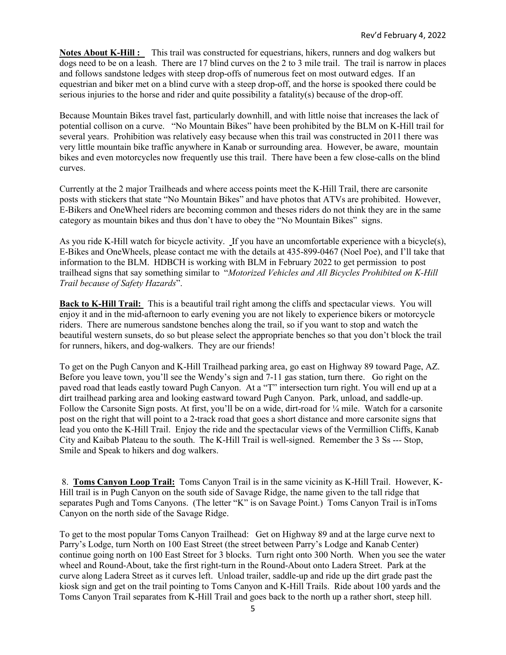**Notes About K-Hill :** This trail was constructed for equestrians, hikers, runners and dog walkers but dogs need to be on a leash. There are 17 blind curves on the 2 to 3 mile trail. The trail is narrow in places and follows sandstone ledges with steep drop-offs of numerous feet on most outward edges. If an equestrian and biker met on a blind curve with a steep drop-off, and the horse is spooked there could be serious injuries to the horse and rider and quite possibility a fatality(s) because of the drop-off.

Because Mountain Bikes travel fast, particularly downhill, and with little noise that increases the lack of potential collison on a curve. "No Mountain Bikes" have been prohibited by the BLM on K-Hill trail for several years. Prohibition was relatively easy because when this trail was constructed in 2011 there was very little mountain bike traffic anywhere in Kanab or surrounding area. However, be aware, mountain bikes and even motorcycles now frequently use this trail. There have been a few close-calls on the blind curves.

Currently at the 2 major Trailheads and where access points meet the K-Hill Trail, there are carsonite posts with stickers that state "No Mountain Bikes" and have photos that ATVs are prohibited. However, E-Bikers and OneWheel riders are becoming common and theses riders do not think they are in the same category as mountain bikes and thus don't have to obey the "No Mountain Bikes" signs.

As you ride K-Hill watch for bicycle activity. If you have an uncomfortable experience with a bicycle(s), E-Bikes and OneWheels, please contact me with the details at 435-899-0467 (Noel Poe), and I'll take that information to the BLM. HDBCH is working with BLM in February 2022 to get permission to post trailhead signs that say something similar to "*Motorized Vehicles and All Bicycles Prohibited on K-Hill Trail because of Safety Hazards*".

**Back to K-Hill Trail:** This is a beautiful trail right among the cliffs and spectacular views. You will enjoy it and in the mid-afternoon to early evening you are not likely to experience bikers or motorcycle riders. There are numerous sandstone benches along the trail, so if you want to stop and watch the beautiful western sunsets, do so but please select the appropriate benches so that you don't block the trail for runners, hikers, and dog-walkers. They are our friends!

To get on the Pugh Canyon and K-Hill Trailhead parking area, go east on Highway 89 toward Page, AZ. Before you leave town, you'll see the Wendy's sign and 7-11 gas station, turn there. Go right on the paved road that leads eastly toward Pugh Canyon. At a "T" intersection turn right. You will end up at a dirt trailhead parking area and looking eastward toward Pugh Canyon. Park, unload, and saddle-up. Follow the Carsonite Sign posts. At first, you'll be on a wide, dirt-road for ¼ mile. Watch for a carsonite post on the right that will point to a 2-track road that goes a short distance and more carsonite signs that lead you onto the K-Hill Trail. Enjoy the ride and the spectacular views of the Vermillion Cliffs, Kanab City and Kaibab Plateau to the south. The K-Hill Trail is well-signed. Remember the 3 Ss --- Stop, Smile and Speak to hikers and dog walkers.

8. **Toms Canyon Loop Trail:** Toms Canyon Trail is in the same vicinity as K-Hill Trail. However, K-Hill trail is in Pugh Canyon on the south side of Savage Ridge, the name given to the tall ridge that separates Pugh and Toms Canyons. (The letter "K" is on Savage Point.) Toms Canyon Trail is inToms Canyon on the north side of the Savage Ridge.

To get to the most popular Toms Canyon Trailhead: Get on Highway 89 and at the large curve next to Parry's Lodge, turn North on 100 East Street (the street between Parry's Lodge and Kanab Center) continue going north on 100 East Street for 3 blocks. Turn right onto 300 North. When you see the water wheel and Round-About, take the first right-turn in the Round-About onto Ladera Street. Park at the curve along Ladera Street as it curves left. Unload trailer, saddle-up and ride up the dirt grade past the kiosk sign and get on the trail pointing to Toms Canyon and K-Hill Trails. Ride about 100 yards and the Toms Canyon Trail separates from K-Hill Trail and goes back to the north up a rather short, steep hill.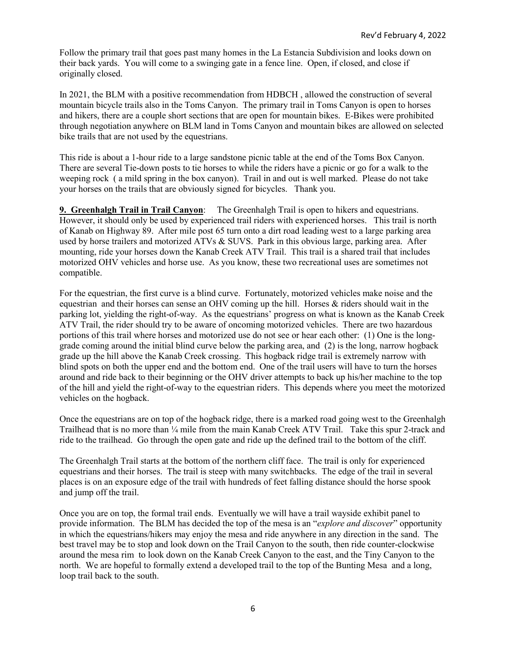Follow the primary trail that goes past many homes in the La Estancia Subdivision and looks down on their back yards. You will come to a swinging gate in a fence line. Open, if closed, and close if originally closed.

In 2021, the BLM with a positive recommendation from HDBCH , allowed the construction of several mountain bicycle trails also in the Toms Canyon. The primary trail in Toms Canyon is open to horses and hikers, there are a couple short sections that are open for mountain bikes. E-Bikes were prohibited through negotiation anywhere on BLM land in Toms Canyon and mountain bikes are allowed on selected bike trails that are not used by the equestrians.

This ride is about a 1-hour ride to a large sandstone picnic table at the end of the Toms Box Canyon. There are several Tie-down posts to tie horses to while the riders have a picnic or go for a walk to the weeping rock ( a mild spring in the box canyon). Trail in and out is well marked. Please do not take your horses on the trails that are obviously signed for bicycles. Thank you.

**9. Greenhalgh Trail in Trail Canyon**: The Greenhalgh Trail is open to hikers and equestrians. However, it should only be used by experienced trail riders with experienced horses. This trail is north of Kanab on Highway 89. After mile post 65 turn onto a dirt road leading west to a large parking area used by horse trailers and motorized ATVs & SUVS. Park in this obvious large, parking area. After mounting, ride your horses down the Kanab Creek ATV Trail. This trail is a shared trail that includes motorized OHV vehicles and horse use. As you know, these two recreational uses are sometimes not compatible.

For the equestrian, the first curve is a blind curve. Fortunately, motorized vehicles make noise and the equestrian and their horses can sense an OHV coming up the hill. Horses  $\&$  riders should wait in the parking lot, yielding the right-of-way. As the equestrians' progress on what is known as the Kanab Creek ATV Trail, the rider should try to be aware of oncoming motorized vehicles. There are two hazardous portions of this trail where horses and motorized use do not see or hear each other: (1) One is the longgrade coming around the initial blind curve below the parking area, and (2) is the long, narrow hogback grade up the hill above the Kanab Creek crossing. This hogback ridge trail is extremely narrow with blind spots on both the upper end and the bottom end. One of the trail users will have to turn the horses around and ride back to their beginning or the OHV driver attempts to back up his/her machine to the top of the hill and yield the right-of-way to the equestrian riders. This depends where you meet the motorized vehicles on the hogback.

Once the equestrians are on top of the hogback ridge, there is a marked road going west to the Greenhalgh Trailhead that is no more than ¼ mile from the main Kanab Creek ATV Trail. Take this spur 2-track and ride to the trailhead. Go through the open gate and ride up the defined trail to the bottom of the cliff.

The Greenhalgh Trail starts at the bottom of the northern cliff face. The trail is only for experienced equestrians and their horses. The trail is steep with many switchbacks. The edge of the trail in several places is on an exposure edge of the trail with hundreds of feet falling distance should the horse spook and jump off the trail.

Once you are on top, the formal trail ends. Eventually we will have a trail wayside exhibit panel to provide information. The BLM has decided the top of the mesa is an "*explore and discover*" opportunity in which the equestrians/hikers may enjoy the mesa and ride anywhere in any direction in the sand. The best travel may be to stop and look down on the Trail Canyon to the south, then ride counter-clockwise around the mesa rim to look down on the Kanab Creek Canyon to the east, and the Tiny Canyon to the north. We are hopeful to formally extend a developed trail to the top of the Bunting Mesa and a long, loop trail back to the south.